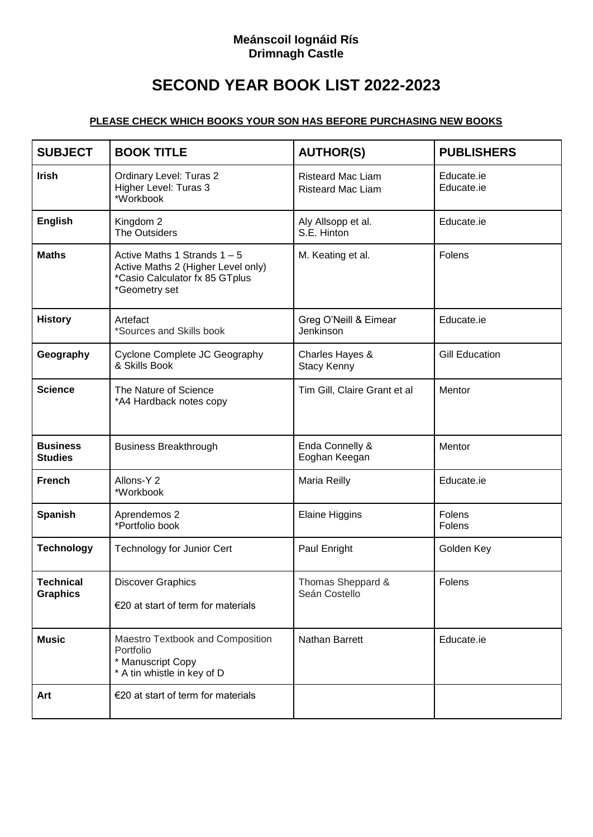## **Meánscoil Iognáid Rís Drimnagh Castle**

## **SECOND YEAR BOOK LIST 2022-2023**

## **PLEASE CHECK WHICH BOOKS YOUR SON HAS BEFORE PURCHASING NEW BOOKS**

| <b>SUBJECT</b>                      | <b>BOOK TITLE</b>                                                                                                       | <b>AUTHOR(S)</b>                                     | <b>PUBLISHERS</b>        |
|-------------------------------------|-------------------------------------------------------------------------------------------------------------------------|------------------------------------------------------|--------------------------|
| <b>Irish</b>                        | Ordinary Level: Turas 2<br>Higher Level: Turas 3<br>*Workbook                                                           | <b>Risteard Mac Liam</b><br><b>Risteard Mac Liam</b> | Educate.ie<br>Educate.ie |
| <b>English</b>                      | Kingdom 2<br>The Outsiders                                                                                              | Aly Allsopp et al.<br>S.E. Hinton                    | Educate.ie               |
| <b>Maths</b>                        | Active Maths 1 Strands $1 - 5$<br>Active Maths 2 (Higher Level only)<br>*Casio Calculator fx 85 GTplus<br>*Geometry set | M. Keating et al.                                    | Folens                   |
| <b>History</b>                      | Artefact<br>*Sources and Skills book                                                                                    | Greg O'Neill & Eimear<br>Jenkinson                   | Educate.ie               |
| Geography                           | Cyclone Complete JC Geography<br>& Skills Book                                                                          | Charles Hayes &<br><b>Stacy Kenny</b>                | <b>Gill Education</b>    |
| <b>Science</b>                      | The Nature of Science<br>*A4 Hardback notes copy                                                                        | Tim Gill, Claire Grant et al                         | Mentor                   |
| <b>Business</b><br><b>Studies</b>   | <b>Business Breakthrough</b>                                                                                            | Enda Connelly &<br>Eoghan Keegan                     | Mentor                   |
| <b>French</b>                       | Allons-Y 2<br>*Workbook                                                                                                 | Maria Reilly                                         | Educate.ie               |
| <b>Spanish</b>                      | Aprendemos 2<br>*Portfolio book                                                                                         | <b>Elaine Higgins</b>                                | Folens<br>Folens         |
| <b>Technology</b>                   | <b>Technology for Junior Cert</b>                                                                                       | Paul Enright                                         | Golden Key               |
| <b>Technical</b><br><b>Graphics</b> | <b>Discover Graphics</b><br>€20 at start of term for materials                                                          | Thomas Sheppard &<br>Seán Costello                   | Folens                   |
| <b>Music</b>                        | Maestro Textbook and Composition<br>Portfolio<br>* Manuscript Copy<br>* A tin whistle in key of D                       | Nathan Barrett                                       | Educate.ie               |
| Art                                 | €20 at start of term for materials                                                                                      |                                                      |                          |